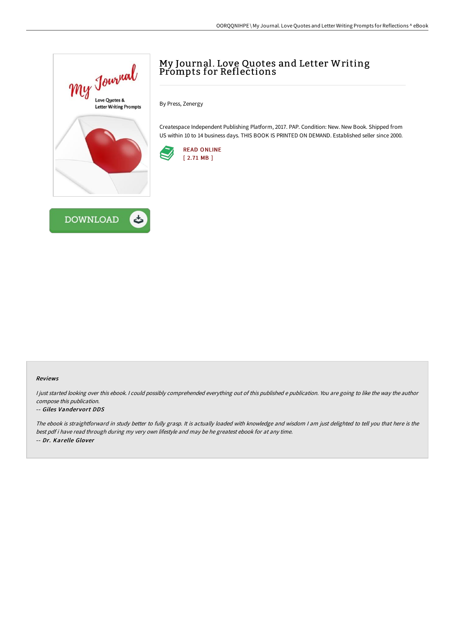



# My Journal. Love Quotes and Letter Writing Prompts for Reflections

By Press, Zenergy

Createspace Independent Publishing Platform, 2017. PAP. Condition: New. New Book. Shipped from US within 10 to 14 business days. THIS BOOK IS PRINTED ON DEMAND. Established seller since 2000.



### Reviews

I just started looking over this ebook. I could possibly comprehended everything out of this published e publication. You are going to like the way the author compose this publication.

### -- Giles Vandervort DDS

The ebook is straightforward in study better to fully grasp. It is actually loaded with knowledge and wisdom <sup>I</sup> am just delighted to tell you that here is the best pdf i have read through during my very own lifestyle and may be he greatest ebook for at any time. -- Dr. Karelle Glover